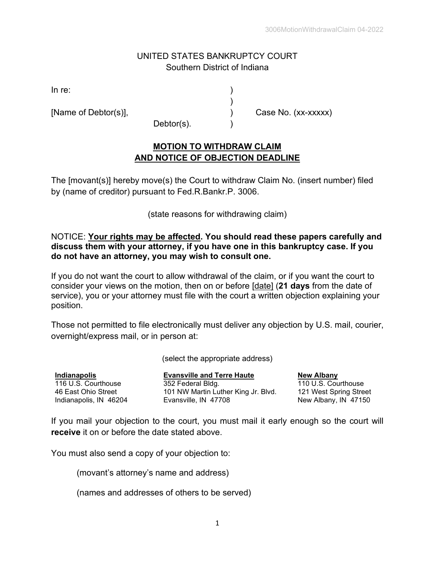## UNITED STATES BANKRUPTCY COURT Southern District of Indiana

)

In re: )

[Name of Debtor(s)],  $\qquad \qquad$  ) Case No. (xx-xxxxx)

Debtor( $s$ ).

## **MOTION TO WITHDRAW CLAIM AND NOTICE OF OBJECTION DEADLINE**

The [movant(s)] hereby move(s) the Court to withdraw Claim No. (insert number) filed by (name of creditor) pursuant to Fed.R.Bankr.P. 3006.

(state reasons for withdrawing claim)

## NOTICE: **Your rights may be affected. You should read these papers carefully and discuss them with your attorney, if you have one in this bankruptcy case. If you do not have an attorney, you may wish to consult one.**

If you do not want the court to allow withdrawal of the claim, or if you want the court to consider your views on the motion, then on or before [date] (**21 days** from the date of service), you or your attorney must file with the court a written objection explaining your position.

Those not permitted to file electronically must deliver any objection by U.S. mail, courier, overnight/express mail, or in person at:

(select the appropriate address)

116 U.S. Courthouse 46 East Ohio Street Indianapolis, IN 46204

**Indianapolis Evansville and Terre Haute New Albany** 352 Federal Bldg. 101 NW Martin Luther King Jr. Blvd. Evansville, IN 47708

110 U.S. Courthouse 121 West Spring Street New Albany, IN 47150

If you mail your objection to the court, you must mail it early enough so the court will **receive** it on or before the date stated above.

You must also send a copy of your objection to:

(movant's attorney's name and address)

(names and addresses of others to be served)